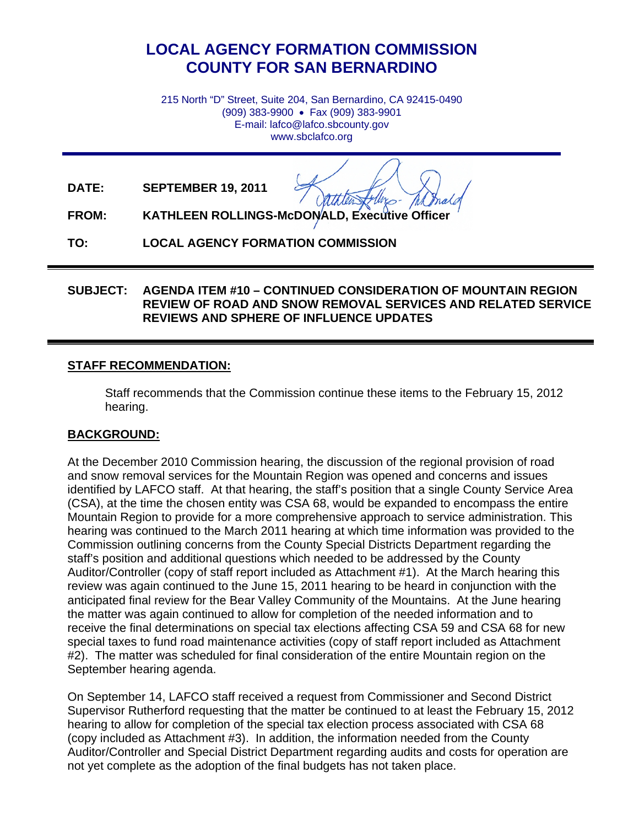## **LOCAL AGENCY FORMATION COMMISSION COUNTY FOR SAN BERNARDINO**

215 North "D" Street, Suite 204, San Bernardino, CA 92415-0490 (909) 383-9900 • Fax (909) 383-9901 E-mail: lafco@lafco.sbcounty.gov www.sbclafco.org

**DATE: SEPTEMBER 19, 2011**

**FROM: KATHLEEN ROLLINGS-McDONALD, Executive Officer**

**TO: LOCAL AGENCY FORMATION COMMISSION** 

## **SUBJECT: AGENDA ITEM #10 – CONTINUED CONSIDERATION OF MOUNTAIN REGION REVIEW OF ROAD AND SNOW REMOVAL SERVICES AND RELATED SERVICE REVIEWS AND SPHERE OF INFLUENCE UPDATES**

## **STAFF RECOMMENDATION:**

Staff recommends that the Commission continue these items to the February 15, 2012 hearing.

## **BACKGROUND:**

At the December 2010 Commission hearing, the discussion of the regional provision of road and snow removal services for the Mountain Region was opened and concerns and issues identified by LAFCO staff. At that hearing, the staff's position that a single County Service Area (CSA), at the time the chosen entity was CSA 68, would be expanded to encompass the entire Mountain Region to provide for a more comprehensive approach to service administration. This hearing was continued to the March 2011 hearing at which time information was provided to the Commission outlining concerns from the County Special Districts Department regarding the staff's position and additional questions which needed to be addressed by the County Auditor/Controller (copy of staff report included as Attachment #1). At the March hearing this review was again continued to the June 15, 2011 hearing to be heard in conjunction with the anticipated final review for the Bear Valley Community of the Mountains. At the June hearing the matter was again continued to allow for completion of the needed information and to receive the final determinations on special tax elections affecting CSA 59 and CSA 68 for new special taxes to fund road maintenance activities (copy of staff report included as Attachment #2). The matter was scheduled for final consideration of the entire Mountain region on the September hearing agenda.

On September 14, LAFCO staff received a request from Commissioner and Second District Supervisor Rutherford requesting that the matter be continued to at least the February 15, 2012 hearing to allow for completion of the special tax election process associated with CSA 68 (copy included as Attachment #3). In addition, the information needed from the County Auditor/Controller and Special District Department regarding audits and costs for operation are not yet complete as the adoption of the final budgets has not taken place.